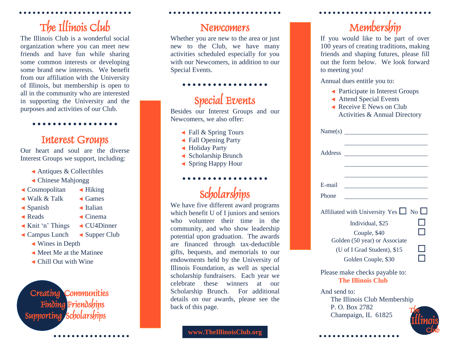## The Illinois Club

The Illinois Club is a wonderful social organization where you can meet new friends and have fun while sharing some common interests or developing some brand new interests. We benefit from our affiliation with the University of Illinois, but membership is open to all in the community who are interested in supporting the University and the purposes and activities of our Club.

#### Interest Groups

Our heart and soul are the diverse Interest Groups we support, including:

- ◄ Antiques & Collectibles
- ◄ Chinese Mahjongg
- ◄ Cosmopolitan ◄ Hiking
	-
- ◄ Walk & Talk ◄ Games
- ◄ Spanish ◄ Italian
	-
- ◄ Reads ◄ Cinema
- ◄ Knit 'n' Things ◄ CU4Dinner
- ◄ Campus Lunch ◄ Supper Club
	- ◄ Wines in Depth
	- ◄ Meet Me at the Matinee
	- ◄ Chill Out with Wine

 Creating Communities Finding Friendships Supporting

#### Newcomers

Whether you are new to the area or just new to the Club, we have many activities scheduled especially for you with our Newcomers, in addition to our Special Events.

#### Special Events

Besides our Interest Groups and our Newcomers, we also offer:

- ◄ Fall & Spring Tours
- ◄ Fall Opening Party
- ◄ Holiday Party
- ◄ Scholarship Brunch
- ◄ Spring Happy Hour

## **Scholarships**

. . . . . . . . . . . . .

We have five different award programs which benefit U of I juniors and seniors who volunteer their time in the community, and who show leadership potential upon graduation. The awards are financed through tax-deductible gifts, bequests, and memorials to our endowments held by the University of Illinois Foundation, as well as special scholarship fundraisers. Each year we celebrate these winners at our Scholarship Brunch. For additional details on our awards, please see the back of this page.

#### Membership

If you would like to be part of over 100 years of creating traditions, making friends and shaping futures, please fill out the form below. We look forward to meeting you!

Annual dues entitle you to:

- ◄ Participate in Interest Groups
- ◄ Attend Special Events
- ◄ Receive E News on Club Activities & Annual Directory

| Address      |                                                                                                                                                                            |  |
|--------------|----------------------------------------------------------------------------------------------------------------------------------------------------------------------------|--|
|              |                                                                                                                                                                            |  |
| E-mail       |                                                                                                                                                                            |  |
| Phone        |                                                                                                                                                                            |  |
|              | Affiliated with University Yes $\Box$ No $\Box$<br>Individual, \$25<br>Couple, \$40<br>Golden (50 year) or Associate<br>(U of I Grad Student), \$15<br>Golden Couple, \$30 |  |
|              | Please make checks payable to:<br><b>The Illinois Club</b>                                                                                                                 |  |
| And send to: | The Illinois Club Membership                                                                                                                                               |  |

The Illinois Club Membership P. O. Box 2782 Champaign, IL 61825